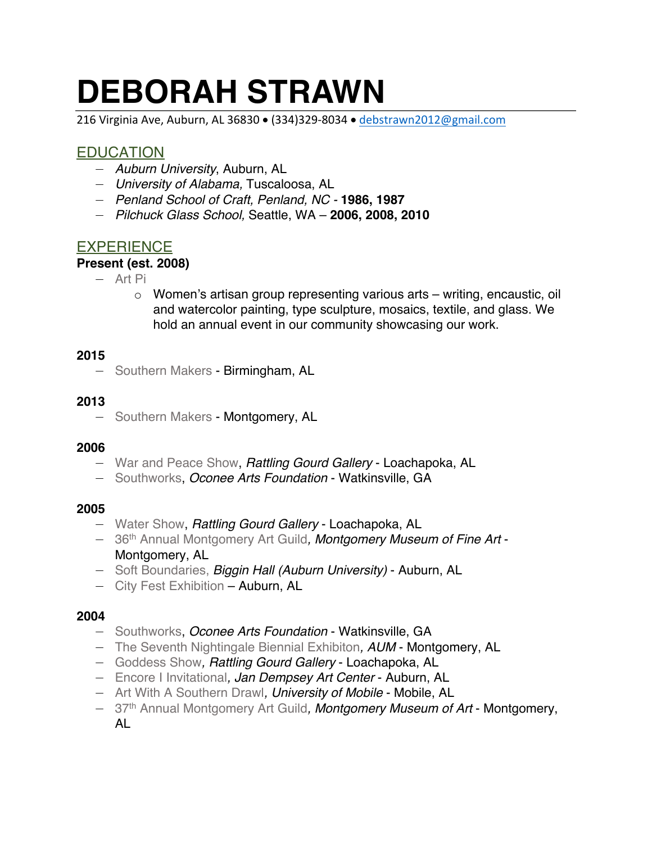# **DEBORAH STRAWN**

216 Virginia Ave, Auburn, AL 36830 • (334)329-8034 • debstrawn2012@gmail.com

# **EDUCATION**

- *Auburn University*, Auburn, AL
- *University of Alabama,* Tuscaloosa, AL
- *Penland School of Craft, Penland, NC -* **1986, 1987**
- *Pilchuck Glass School,* Seattle, WA **2006, 2008, 2010**

# **EXPERIENCE**

## **Present (est. 2008)**

- Art Pi
	- o Women's artisan group representing various arts writing, encaustic, oil and watercolor painting, type sculpture, mosaics, textile, and glass. We hold an annual event in our community showcasing our work.

## **2015**

— Southern Makers - Birmingham, AL

# **2013**

— Southern Makers - Montgomery, AL

# **2006**

- War and Peace Show, *Rattling Gourd Gallery* Loachapoka, AL
- Southworks, *Oconee Arts Foundation* Watkinsville, GA

# **2005**

- Water Show, *Rattling Gourd Gallery* Loachapoka, AL
- 36th Annual Montgomery Art Guild*, Montgomery Museum of Fine Art* Montgomery, AL
- Soft Boundaries, *Biggin Hall (Auburn University)* Auburn, AL
- City Fest Exhibition Auburn, AL

# **2004**

- Southworks, *Oconee Arts Foundation* Watkinsville, GA
- The Seventh Nightingale Biennial Exhibiton*, AUM* Montgomery, AL
- Goddess Show*, Rattling Gourd Gallery* Loachapoka, AL
- Encore I Invitational*, Jan Dempsey Art Center* Auburn, AL
- Art With A Southern Drawl*, University of Mobile* Mobile, AL
- 37th Annual Montgomery Art Guild*, Montgomery Museum of Art* Montgomery, AL